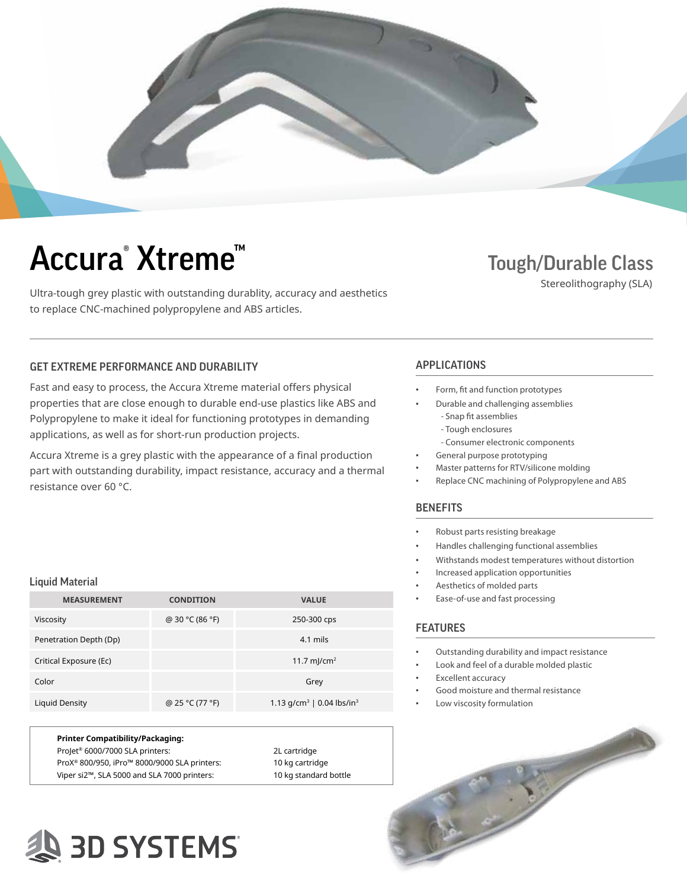

# Accura<sup>®</sup> Xtreme<sup>™</sup>

Ultra-tough grey plastic with outstanding durablity, accuracy and aesthetics to replace CNC-machined polypropylene and ABS articles.

### Tough/Durable Class

Stereolithography (SLA)

### GET EXTREME PERFORMANCE AND DURABILITY **APPLICATIONS**

Fast and easy to process, the Accura Xtreme material offers physical properties that are close enough to durable end-use plastics like ABS and Polypropylene to make it ideal for functioning prototypes in demanding applications, as well as for short-run production projects.

Accura Xtreme is a grey plastic with the appearance of a final production part with outstanding durability, impact resistance, accuracy and a thermal resistance over 60 °C.

#### Liquid Material

| <b>MEASUREMENT</b>     | <b>CONDITION</b> | <b>VALUE</b>                                      |
|------------------------|------------------|---------------------------------------------------|
| Viscosity              | @ 30 °C (86 °F)  | 250-300 cps                                       |
| Penetration Depth (Dp) |                  | $4.1$ mils                                        |
| Critical Exposure (Ec) |                  | 11.7 mJ/cm <sup>2</sup>                           |
| Color                  |                  | Grey                                              |
| Liquid Density         | @ 25 °C (77 °F)  | 1.13 g/cm <sup>3</sup>   0.04 lbs/in <sup>3</sup> |

| Printer Compatibility/Packaging:                         |                       |
|----------------------------------------------------------|-----------------------|
| Projet® 6000/7000 SLA printers:                          | 2L cartridge          |
| ProX <sup>®</sup> 800/950, iPro™ 8000/9000 SLA printers: | 10 kg cartridge       |
| Viper si2™, SLA 5000 and SLA 7000 printers:              | 10 kg standard bottle |

- Form, fit and function prototypes
	- Durable and challenging assemblies
		- Snap fit assemblies - Tough enclosures
		- Consumer electronic components
	- General purpose prototyping
- Master patterns for RTV/silicone molding
- Replace CNC machining of Polypropylene and ABS

#### **BENEFITS**

- Robust parts resisting breakage
- Handles challenging functional assemblies
- Withstands modest temperatures without distortion
- Increased application opportunities
- Aesthetics of molded parts
- Ease-of-use and fast processing

#### FEATURES

- Outstanding durability and impact resistance
- Look and feel of a durable molded plastic
- Excellent accuracy
- Good moisture and thermal resistance
- Low viscosity formulation



### **SD SYSTEMS**